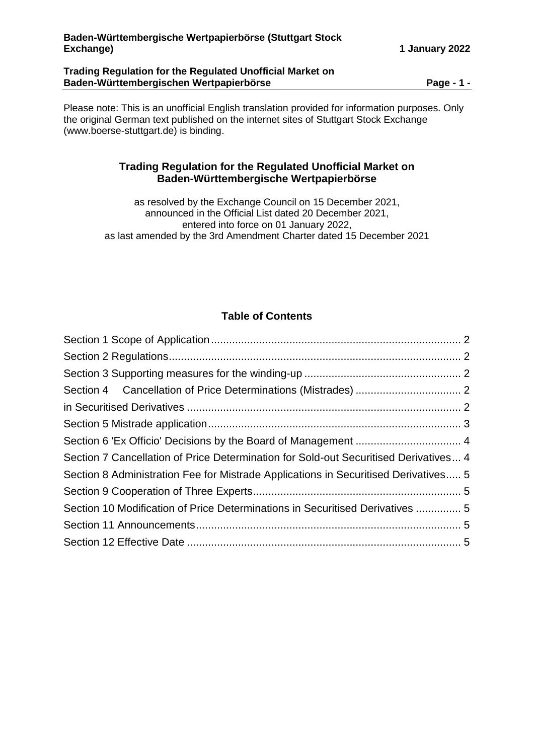### **Trading Regulation for the Regulated Unofficial Market on Baden-Württembergischen Wertpapierbörse Page - 1 -**

Please note: This is an unofficial English translation provided for information purposes. Only the original German text published on the internet sites of Stuttgart Stock Exchange (www.boerse-stuttgart.de) is binding.

# **Trading Regulation for the Regulated Unofficial Market on Baden-Württembergische Wertpapierbörse**

as resolved by the Exchange Council on 15 December 2021, announced in the Official List dated 20 December 2021, entered into force on 01 January 2022, as last amended by the 3rd Amendment Charter dated 15 December 2021

# **Table of Contents**

| Section 7 Cancellation of Price Determination for Sold-out Securitised Derivatives 4 |  |
|--------------------------------------------------------------------------------------|--|
| Section 8 Administration Fee for Mistrade Applications in Securitised Derivatives 5  |  |
|                                                                                      |  |
| Section 10 Modification of Price Determinations in Securitised Derivatives  5        |  |
|                                                                                      |  |
|                                                                                      |  |
|                                                                                      |  |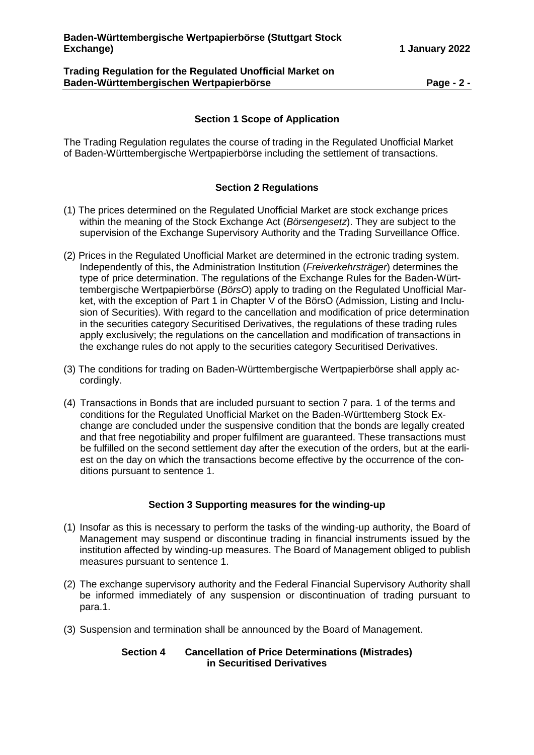#### **Trading Regulation for the Regulated Unofficial Market on Baden-Württembergischen Wertpapierbörse Page - 2 -**

### **Section 1 Scope of Application**

<span id="page-1-0"></span>The Trading Regulation regulates the course of trading in the Regulated Unofficial Market of Baden-Württembergische Wertpapierbörse including the settlement of transactions.

## **Section 2 Regulations**

- <span id="page-1-1"></span>(1) The prices determined on the Regulated Unofficial Market are stock exchange prices within the meaning of the Stock Exchange Act (*Börsengesetz*). They are subject to the supervision of the Exchange Supervisory Authority and the Trading Surveillance Office.
- (2) Prices in the Regulated Unofficial Market are determined in the ectronic trading system. Independently of this, the Administration Institution (*Freiverkehrsträger*) determines the type of price determination. The regulations of the Exchange Rules for the Baden-Württembergische Wertpapierbörse (*BörsO*) apply to trading on the Regulated Unofficial Market, with the exception of Part 1 in Chapter V of the BörsO (Admission, Listing and Inclusion of Securities). With regard to the cancellation and modification of price determination in the securities category Securitised Derivatives, the regulations of these trading rules apply exclusively; the regulations on the cancellation and modification of transactions in the exchange rules do not apply to the securities category Securitised Derivatives.
- (3) The conditions for trading on Baden-Württembergische Wertpapierbörse shall apply accordingly.
- (4) Transactions in Bonds that are included pursuant to section 7 para. 1 of the terms and conditions for the Regulated Unofficial Market on the Baden-Württemberg Stock Exchange are concluded under the suspensive condition that the bonds are legally created and that free negotiability and proper fulfilment are guaranteed. These transactions must be fulfilled on the second settlement day after the execution of the orders, but at the earliest on the day on which the transactions become effective by the occurrence of the conditions pursuant to sentence 1.

#### **Section 3 Supporting measures for the winding-up**

- <span id="page-1-2"></span>(1) Insofar as this is necessary to perform the tasks of the winding-up authority, the Board of Management may suspend or discontinue trading in financial instruments issued by the institution affected by winding-up measures. The Board of Management obliged to publish measures pursuant to sentence 1.
- (2) The exchange supervisory authority and the Federal Financial Supervisory Authority shall be informed immediately of any suspension or discontinuation of trading pursuant to para.1.
- <span id="page-1-4"></span><span id="page-1-3"></span>(3) Suspension and termination shall be announced by the Board of Management.

#### **Section 4 Cancellation of Price Determinations (Mistrades) in Securitised Derivatives**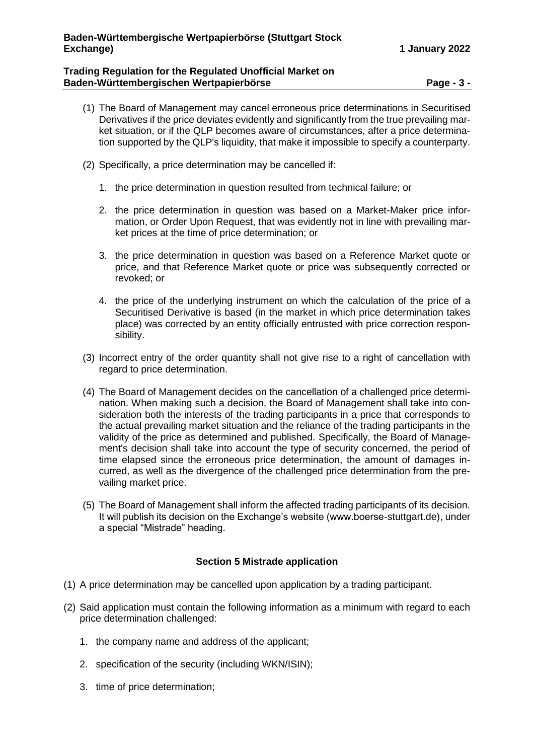### **Trading Regulation for the Regulated Unofficial Market on Baden-Württembergischen Wertpapierbörse Page - 3 -**

- (1) The Board of Management may cancel erroneous price determinations in Securitised Derivatives if the price deviates evidently and significantly from the true prevailing market situation, or if the QLP becomes aware of circumstances, after a price determination supported by the QLP's liquidity, that make it impossible to specify a counterparty.
- (2) Specifically, a price determination may be cancelled if:
	- 1. the price determination in question resulted from technical failure; or
	- 2. the price determination in question was based on a Market-Maker price information, or Order Upon Request, that was evidently not in line with prevailing market prices at the time of price determination; or
	- 3. the price determination in question was based on a Reference Market quote or price, and that Reference Market quote or price was subsequently corrected or revoked; or
	- 4. the price of the underlying instrument on which the calculation of the price of a Securitised Derivative is based (in the market in which price determination takes place) was corrected by an entity officially entrusted with price correction responsibility.
- (3) Incorrect entry of the order quantity shall not give rise to a right of cancellation with regard to price determination.
- (4) The Board of Management decides on the cancellation of a challenged price determination. When making such a decision, the Board of Management shall take into consideration both the interests of the trading participants in a price that corresponds to the actual prevailing market situation and the reliance of the trading participants in the validity of the price as determined and published. Specifically, the Board of Management's decision shall take into account the type of security concerned, the period of time elapsed since the erroneous price determination, the amount of damages incurred, as well as the divergence of the challenged price determination from the prevailing market price.
- (5) The Board of Management shall inform the affected trading participants of its decision. It will publish its decision on the Exchange's website (www.boerse-stuttgart.de), under a special "Mistrade" heading.

## **Section 5 Mistrade application**

- <span id="page-2-0"></span>(1) A price determination may be cancelled upon application by a trading participant.
- (2) Said application must contain the following information as a minimum with regard to each price determination challenged:
	- 1. the company name and address of the applicant;
	- 2. specification of the security (including WKN/ISIN);
	- 3. time of price determination;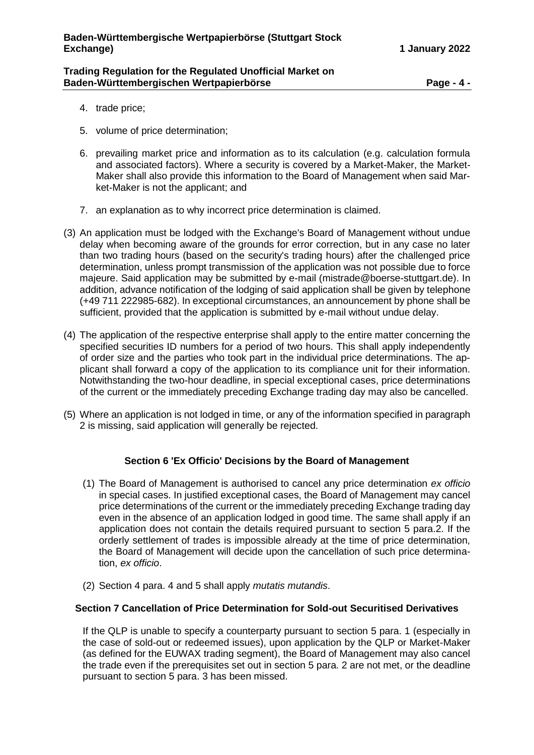#### **Trading Regulation for the Regulated Unofficial Market on Baden-Württembergischen Wertpapierbörse Page - 4 -**

- 4. trade price;
- 5. volume of price determination;
- 6. prevailing market price and information as to its calculation (e.g. calculation formula and associated factors). Where a security is covered by a Market-Maker, the Market-Maker shall also provide this information to the Board of Management when said Market-Maker is not the applicant; and
- 7. an explanation as to why incorrect price determination is claimed.
- (3) An application must be lodged with the Exchange's Board of Management without undue delay when becoming aware of the grounds for error correction, but in any case no later than two trading hours (based on the security's trading hours) after the challenged price determination, unless prompt transmission of the application was not possible due to force majeure. Said application may be submitted by e-mail (mistrade@boerse-stuttgart.de). In addition, advance notification of the lodging of said application shall be given by telephone (+49 711 222985-682). In exceptional circumstances, an announcement by phone shall be sufficient, provided that the application is submitted by e-mail without undue delay.
- (4) The application of the respective enterprise shall apply to the entire matter concerning the specified securities ID numbers for a period of two hours. This shall apply independently of order size and the parties who took part in the individual price determinations. The applicant shall forward a copy of the application to its compliance unit for their information. Notwithstanding the two-hour deadline, in special exceptional cases, price determinations of the current or the immediately preceding Exchange trading day may also be cancelled.
- (5) Where an application is not lodged in time, or any of the information specified in paragraph 2 is missing, said application will generally be rejected.

## **Section 6 'Ex Officio' Decisions by the Board of Management**

- <span id="page-3-0"></span>(1) The Board of Management is authorised to cancel any price determination *ex officio* in special cases. In justified exceptional cases, the Board of Management may cancel price determinations of the current or the immediately preceding Exchange trading day even in the absence of an application lodged in good time. The same shall apply if an application does not contain the details required pursuant to section 5 para.2. If the orderly settlement of trades is impossible already at the time of price determination, the Board of Management will decide upon the cancellation of such price determination, *ex officio*.
- (2) Section 4 para. 4 and 5 shall apply *mutatis mutandis*.

## <span id="page-3-1"></span>**Section 7 Cancellation of Price Determination for Sold-out Securitised Derivatives**

If the QLP is unable to specify a counterparty pursuant to section 5 para. 1 (especially in the case of sold-out or redeemed issues), upon application by the QLP or Market-Maker (as defined for the EUWAX trading segment), the Board of Management may also cancel the trade even if the prerequisites set out in section 5 para. 2 are not met, or the deadline pursuant to section 5 para. 3 has been missed.